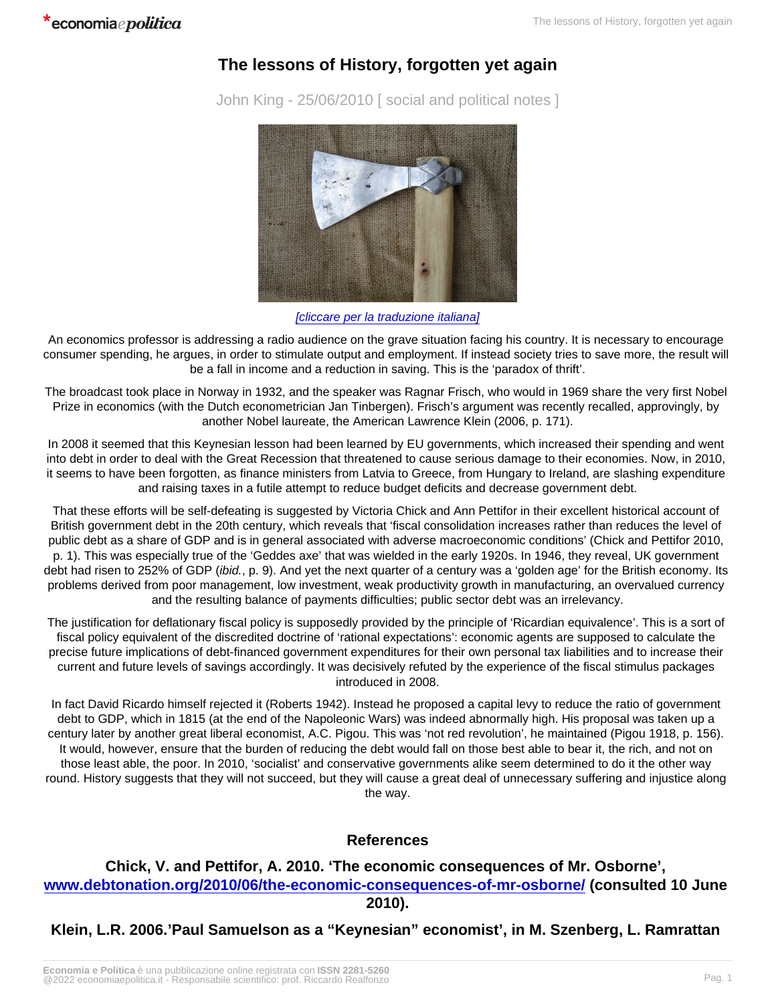## The lessons of History, forgotten yet again

John King - 25/06/2010 [ social and political notes ]

## [\[cliccare per la traduzione italiana\]](http://www.economiaepolitica.it/index.php/europa-e-mondo/le-lezioni-della-storia-dimenticate-ancora-una-volta/)

An economics professor is addressing a radio audience on the grave situation facing his country. It is necessary to encourage consumer spending, he argues, in order to stimulate output and employment. If instead society tries to save more, the result will be a fall in income and a reduction in saving. This is the 'paradox of thrift'.

The broadcast took place in Norway in 1932, and the speaker was Ragnar Frisch, who would in 1969 share the very first Nobel Prize in economics (with the Dutch econometrician Jan Tinbergen). Frisch's argument was recently recalled, approvingly, by another Nobel laureate, the American Lawrence Klein (2006, p. 171).

In 2008 it seemed that this Keynesian lesson had been learned by EU governments, which increased their spending and went into debt in order to deal with the Great Recession that threatened to cause serious damage to their economies. Now, in 2010, it seems to have been forgotten, as finance ministers from Latvia to Greece, from Hungary to Ireland, are slashing expenditure and raising taxes in a futile attempt to reduce budget deficits and decrease government debt.

That these efforts will be self-defeating is suggested by Victoria Chick and Ann Pettifor in their excellent historical account of British government debt in the 20th century, which reveals that 'fiscal consolidation increases rather than reduces the level of public debt as a share of GDP and is in general associated with adverse macroeconomic conditions' (Chick and Pettifor 2010, p. 1). This was especially true of the 'Geddes axe' that was wielded in the early 1920s. In 1946, they reveal, UK government debt had risen to 252% of GDP (ibid., p. 9). And yet the next quarter of a century was a 'golden age' for the British economy. Its problems derived from poor management, low investment, weak productivity growth in manufacturing, an overvalued currency and the resulting balance of payments difficulties; public sector debt was an irrelevancy.

The justification for deflationary fiscal policy is supposedly provided by the principle of 'Ricardian equivalence'. This is a sort of fiscal policy equivalent of the discredited doctrine of 'rational expectations': economic agents are supposed to calculate the precise future implications of debt-financed government expenditures for their own personal tax liabilities and to increase their current and future levels of savings accordingly. It was decisively refuted by the experience of the fiscal stimulus packages introduced in 2008.

In fact David Ricardo himself rejected it (Roberts 1942). Instead he proposed a capital levy to reduce the ratio of government debt to GDP, which in 1815 (at the end of the Napoleonic Wars) was indeed abnormally high. His proposal was taken up a century later by another great liberal economist, A.C. Pigou. This was 'not red revolution', he maintained (Pigou 1918, p. 156). It would, however, ensure that the burden of reducing the debt would fall on those best able to bear it, the rich, and not on those least able, the poor. In 2010, 'socialist' and conservative governments alike seem determined to do it the other way round. History suggests that they will not succeed, but they will cause a great deal of unnecessary suffering and injustice along the way.

## References

Chick, V. and Pettifor, A. 2010. 'The economic consequences of Mr. Osborne', [www.debtonation.org/2010/06/the-economic-consequences-of-mr-osborne/](http://www.debtonation.org/2010/06/the-economic-consequences-of-mr-osborne/) (consulted 10 June 2010).

Klein, L.R. 2006.'Paul Samuelson as a "Keynesian" economist', in M. Szenberg, L. Ramrattan